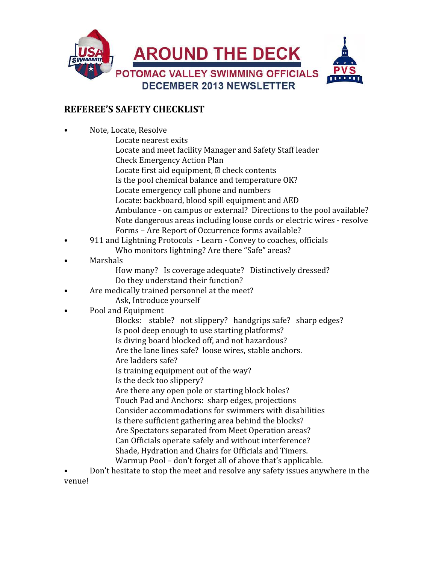

## REFEREE'S SAFETY CHECKLIST

• Note, Locate, Resolve Locate nearest exits Locate and meet facility Manager and Safety Staff leader Check Emergency Action Plan Locate first aid equipment,  $\mathbb D$  check contents Is the pool chemical balance and temperature OK? Locate emergency call phone and numbers Locate: backboard, blood spill equipment and AED Ambulance - on campus or external? Directions to the pool available? Note dangerous areas including loose cords or electric wires - resolve Forms – Are Report of Occurrence forms available? • 911 and Lightning Protocols - Learn - Convey to coaches, officials Who monitors lightning? Are there "Safe" areas? **Marshals**  How many? Is coverage adequate? Distinctively dressed? Do they understand their function? Are medically trained personnel at the meet? Ask, Introduce yourself • Pool and Equipment Blocks: stable? not slippery? handgrips safe? sharp edges? Is pool deep enough to use starting platforms? Is diving board blocked off, and not hazardous? Are the lane lines safe? loose wires, stable anchors. Are ladders safe? Is training equipment out of the way? Is the deck too slippery? Are there any open pole or starting block holes? Touch Pad and Anchors: sharp edges, projections Consider accommodations for swimmers with disabilities Is there sufficient gathering area behind the blocks? Are Spectators separated from Meet Operation areas? Can Officials operate safely and without interference? Shade, Hydration and Chairs for Officials and Timers. Warmup Pool – don't forget all of above that's applicable.

• Don't hesitate to stop the meet and resolve any safety issues anywhere in the venue!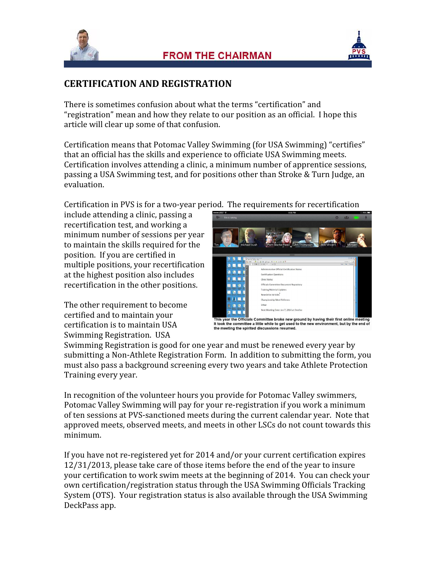



## CERTIFICATION AND REGISTRATION

There is sometimes confusion about what the terms "certification" and "registration" mean and how they relate to our position as an official. I hope this article will clear up some of that confusion.

Certification means that Potomac Valley Swimming (for USA Swimming) "certifies" that an official has the skills and experience to officiate USA Swimming meets. Certification involves attending a clinic, a minimum number of apprentice sessions, passing a USA Swimming test, and for positions other than Stroke & Turn Judge, an evaluation.

Certification in PVS is for a two-year period. The requirements for recertification

include attending a clinic, passing a recertification test, and working a minimum number of sessions per year to maintain the skills required for the position. If you are certified in multiple positions, your recertification at the highest position also includes recertification in the other positions.

The other requirement to become certified and to maintain your certification is to maintain USA Swimming Registration. USA



This year the Officials Committee broke new ground by having their first online meeting<br>It took the committee a little while to get used to the new environment, but by the end of<br>the meeting the spirited discussions resume

Swimming Registration is good for one year and must be renewed every year by submitting a Non-Athlete Registration Form. In addition to submitting the form, you must also pass a background screening every two years and take Athlete Protection Training every year.

In recognition of the volunteer hours you provide for Potomac Valley swimmers, Potomac Valley Swimming will pay for your re-registration if you work a minimum of ten sessions at PVS-sanctioned meets during the current calendar year. Note that approved meets, observed meets, and meets in other LSCs do not count towards this minimum.

If you have not re-registered yet for 2014 and/or your current certification expires 12/31/2013, please take care of those items before the end of the year to insure your certification to work swim meets at the beginning of 2014. You can check your own certification/registration status through the USA Swimming Officials Tracking System (OTS). Your registration status is also available through the USA Swimming DeckPass app.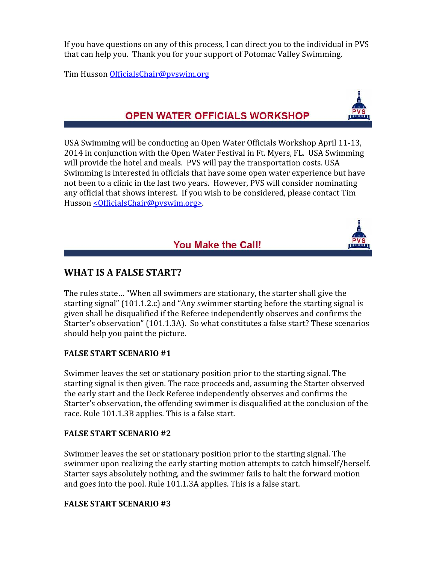If you have questions on any of this process, I can direct you to the individual in PVS that can help you. Thank you for your support of Potomac Valley Swimming.

Tim Husson OfficialsChair@pvswim.org

# OPEN WATER OFFICIALS WORKSHOP

USA Swimming will be conducting an Open Water Officials Workshop April 11-13, 2014 in conjunction with the Open Water Festival in Ft. Myers, FL. USA Swimming will provide the hotel and meals. PVS will pay the transportation costs. USA Swimming is interested in officials that have some open water experience but have not been to a clinic in the last two years. However, PVS will consider nominating any official that shows interest. If you wish to be considered, please contact Tim Husson < Officials Chair@pvswim.org>.

# You Make the Call!

## WHAT IS A FALSE START?

The rules state… "When all swimmers are stationary, the starter shall give the starting signal" (101.1.2.c) and "Any swimmer starting before the starting signal is given shall be disqualified if the Referee independently observes and confirms the Starter's observation" (101.1.3A). So what constitutes a false start? These scenarios should help you paint the picture.

### FALSE START SCENARIO #1

Swimmer leaves the set or stationary position prior to the starting signal. The starting signal is then given. The race proceeds and, assuming the Starter observed the early start and the Deck Referee independently observes and confirms the Starter's observation, the offending swimmer is disqualified at the conclusion of the race. Rule 101.1.3B applies. This is a false start.

### FALSE START SCENARIO #2

Swimmer leaves the set or stationary position prior to the starting signal. The swimmer upon realizing the early starting motion attempts to catch himself/herself. Starter says absolutely nothing, and the swimmer fails to halt the forward motion and goes into the pool. Rule 101.1.3A applies. This is a false start.

## FALSE START SCENARIO #3

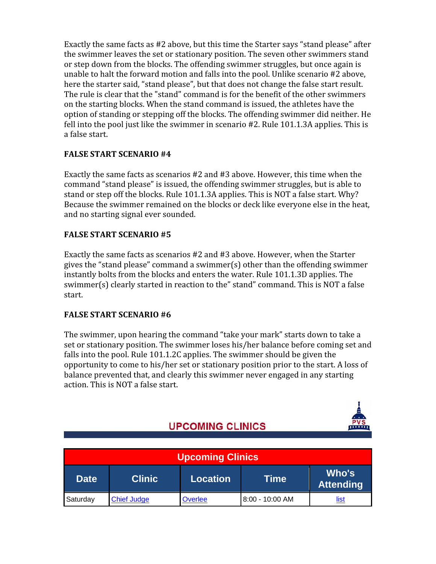Exactly the same facts as #2 above, but this time the Starter says "stand please" after the swimmer leaves the set or stationary position. The seven other swimmers stand or step down from the blocks. The offending swimmer struggles, but once again is unable to halt the forward motion and falls into the pool. Unlike scenario #2 above, here the starter said, "stand please", but that does not change the false start result. The rule is clear that the "stand" command is for the benefit of the other swimmers on the starting blocks. When the stand command is issued, the athletes have the option of standing or stepping off the blocks. The offending swimmer did neither. He fell into the pool just like the swimmer in scenario #2. Rule 101.1.3A applies. This is a false start.

## FALSE START SCENARIO #4

Exactly the same facts as scenarios #2 and #3 above. However, this time when the command "stand please" is issued, the offending swimmer struggles, but is able to stand or step off the blocks. Rule 101.1.3A applies. This is NOT a false start. Why? Because the swimmer remained on the blocks or deck like everyone else in the heat, and no starting signal ever sounded.

### FALSE START SCENARIO #5

Exactly the same facts as scenarios #2 and #3 above. However, when the Starter gives the "stand please" command a swimmer(s) other than the offending swimmer instantly bolts from the blocks and enters the water. Rule 101.1.3D applies. The swimmer(s) clearly started in reaction to the" stand" command. This is NOT a false start.

### FALSE START SCENARIO #6

The swimmer, upon hearing the command "take your mark" starts down to take a set or stationary position. The swimmer loses his/her balance before coming set and falls into the pool. Rule 101.1.2C applies. The swimmer should be given the opportunity to come to his/her set or stationary position prior to the start. A loss of balance prevented that, and clearly this swimmer never engaged in any starting action. This is NOT a false start.

# **UPCOMING CLINICS**

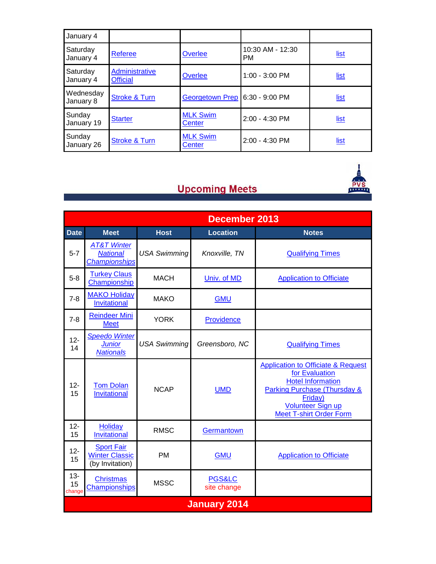| January 4              |                                   |                                  |                               |             |
|------------------------|-----------------------------------|----------------------------------|-------------------------------|-------------|
| Saturday<br>January 4  | <b>Referee</b>                    | Overlee                          | 10:30 AM - 12:30<br><b>PM</b> | <u>list</u> |
| Saturday<br>January 4  | Administrative<br><b>Official</b> | Overlee                          | 1:00 - 3:00 PM                | <u>list</u> |
| Wednesday<br>January 8 | <b>Stroke &amp; Turn</b>          | <b>Georgetown Prep</b>           | $6:30 - 9:00$ PM              | <u>list</u> |
| Sunday<br>January 19   | <b>Starter</b>                    | <b>MLK Swim</b><br>Center        | 2:00 - 4:30 PM                | <u>list</u> |
| Sunday<br>January 26   | <b>Stroke &amp; Turn</b>          | <b>MLK Swim</b><br><b>Center</b> | 2:00 - 4:30 PM                | <u>list</u> |

# **Upcoming Meets**



|                        | December 2013                                                     |                     |                                  |                                                                                                                                                                                                                 |  |  |  |
|------------------------|-------------------------------------------------------------------|---------------------|----------------------------------|-----------------------------------------------------------------------------------------------------------------------------------------------------------------------------------------------------------------|--|--|--|
| <b>Date</b>            | <b>Meet</b>                                                       | <b>Host</b>         | <b>Location</b>                  | <b>Notes</b>                                                                                                                                                                                                    |  |  |  |
| $5-7$                  | <b>AT&amp;T Winter</b><br><b>National</b><br><b>Championships</b> | <b>USA Swimming</b> | Knoxville, TN                    | <b>Qualifying Times</b>                                                                                                                                                                                         |  |  |  |
| $5-8$                  | <b>Turkey Claus</b><br>Championship                               | <b>MACH</b>         | Univ. of MD                      | <b>Application to Officiate</b>                                                                                                                                                                                 |  |  |  |
| $7 - 8$                | <b>MAKO Holiday</b><br>Invitational                               | <b>MAKO</b>         | <b>GMU</b>                       |                                                                                                                                                                                                                 |  |  |  |
| $7 - 8$                | <b>Reindeer Mini</b><br><b>Meet</b>                               | <b>YORK</b>         | Providence                       |                                                                                                                                                                                                                 |  |  |  |
| $12 -$<br>14           | <b>Speedo Winter</b><br><b>Junior</b><br><b>Nationals</b>         | <b>USA Swimming</b> | Greensboro, NC                   | <b>Qualifying Times</b>                                                                                                                                                                                         |  |  |  |
| $12 -$<br>15           | <b>Tom Dolan</b><br>Invitational                                  | <b>NCAP</b>         | <b>UMD</b>                       | <b>Application to Officiate &amp; Request</b><br>for Evaluation<br><b>Hotel Information</b><br><b>Parking Purchase (Thursday &amp;</b><br>Friday)<br><b>Volunteer Sign up</b><br><b>Meet T-shirt Order Form</b> |  |  |  |
| $12 -$<br>15           | <b>Holiday</b><br><b>Invitational</b>                             | <b>RMSC</b>         | Germantown                       |                                                                                                                                                                                                                 |  |  |  |
| $12 -$<br>15           | <b>Sport Fair</b><br><b>Winter Classic</b><br>(by Invitation)     | <b>PM</b>           | <b>GMU</b>                       | <b>Application to Officiate</b>                                                                                                                                                                                 |  |  |  |
| $13 -$<br>15<br>change | <b>Christmas</b><br>Championships                                 | <b>MSSC</b>         | <b>PGS&amp;LC</b><br>site change |                                                                                                                                                                                                                 |  |  |  |
| <b>January 2014</b>    |                                                                   |                     |                                  |                                                                                                                                                                                                                 |  |  |  |